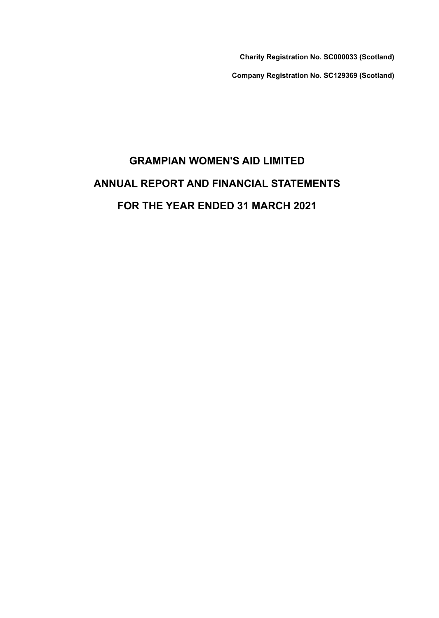Charity Registration No. SC000033 (Scotland)

Company Registration No. SC129369 (Scotland)

# GRAMPIAN WOMEN'S AID LIMITED ANNUAL REPORT AND FINANCIAL STATEMENTS FOR THE YEAR ENDED 31 MARCH 2021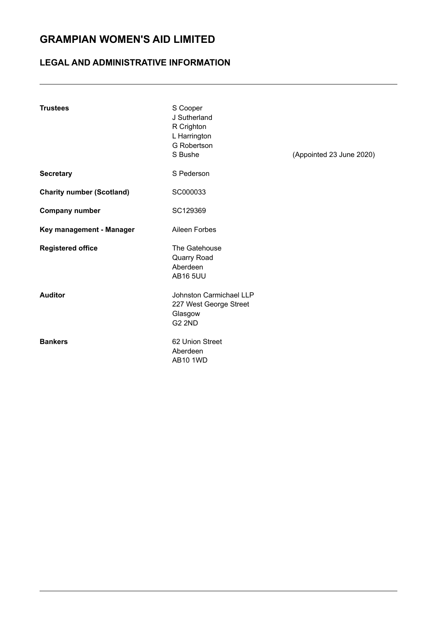### LEGAL AND ADMINISTRATIVE INFORMATION

| <b>Trustees</b>                  | S Cooper<br>J Sutherland<br>R Crighton<br>L Harrington<br>G Robertson<br>S Bushe | (Appointed 23 June 2020) |
|----------------------------------|----------------------------------------------------------------------------------|--------------------------|
| <b>Secretary</b>                 | S Pederson                                                                       |                          |
| <b>Charity number (Scotland)</b> | SC000033                                                                         |                          |
| <b>Company number</b>            | SC129369                                                                         |                          |
| Key management - Manager         | Aileen Forbes                                                                    |                          |
| <b>Registered office</b>         | The Gatehouse<br>Quarry Road<br>Aberdeen<br><b>AB16 5UU</b>                      |                          |
| <b>Auditor</b>                   | Johnston Carmichael LLP<br>227 West George Street<br>Glasgow<br><b>G2 2ND</b>    |                          |
| <b>Bankers</b>                   | 62 Union Street<br>Aberdeen<br><b>AB10 1WD</b>                                   |                          |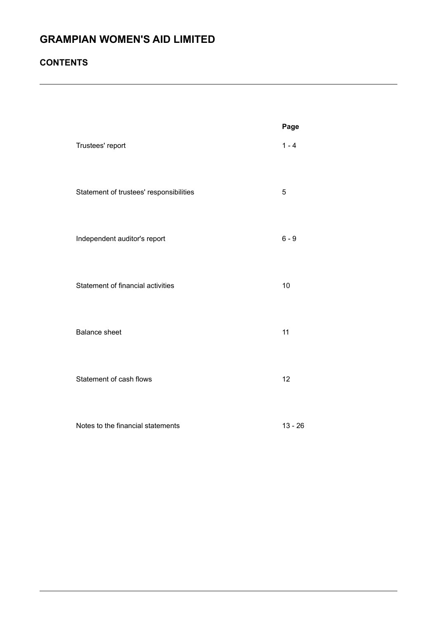### **CONTENTS**

|                                         | Page      |
|-----------------------------------------|-----------|
| Trustees' report                        | $1 - 4$   |
| Statement of trustees' responsibilities | 5         |
| Independent auditor's report            | $6 - 9$   |
| Statement of financial activities       | 10        |
| <b>Balance sheet</b>                    | 11        |
| Statement of cash flows                 | 12        |
| Notes to the financial statements       | $13 - 26$ |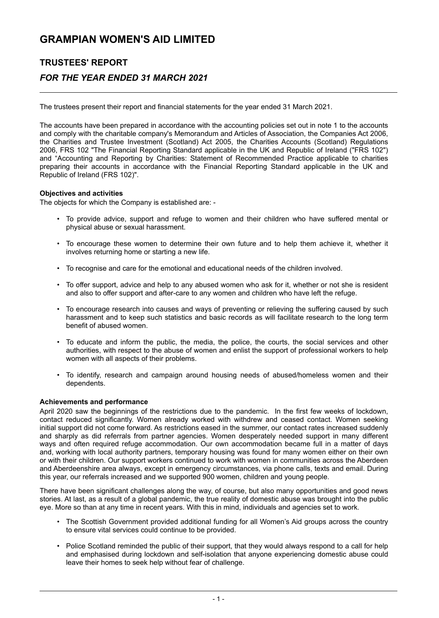# TRUSTEES' REPORT FOR THE YEAR ENDED 31 MARCH 2021

The trustees present their report and financial statements for the year ended 31 March 2021.

The accounts have been prepared in accordance with the accounting policies set out in note 1 to the accounts and comply with the charitable company's Memorandum and Articles of Association , the Companies Act 2006, the Charities and Trustee Investment (Scotland) Act 2005, the Charities Accounts (Scotland) Regulations 2006, FRS 102 "The Financial Reporting Standard applicable in the UK and Republic of Ireland ("FRS 102") and "Accounting and Reporting by Charities: Statement of Recommended Practice applicable to charities preparing their accounts in accordance with the Financial Reporting Standard applicable in the UK and Republic of Ireland (FRS 102)".

#### Objectives and activities

The objects for which the Company is established are: -

- To provide advice, support and refuge to women and their children who have suffered mental or physical abuse or sexual harassment.
- To encourage these women to determine their own future and to help them achieve it, whether it involves returning home or starting a new life.
- To recognise and care for the emotional and educational needs of the children involved.
- To offer support, advice and help to any abused women who ask for it, whether or not she is resident and also to offer support and after-care to any women and children who have left the refuge.
- To encourage research into causes and ways of preventing or relieving the suffering caused by such harassment and to keep such statistics and basic records as will facilitate research to the long term benefit of abused women.
- To educate and inform the public, the media, the police, the courts, the social services and other authorities, with respect to the abuse of women and enlist the support of professional workers to help women with all aspects of their problems.
- To identify, research and campaign around housing needs of abused/homeless women and their dependents.

#### Achievements and performance

April 2020 saw the beginnings of the restrictions due to the pandemic. In the first few weeks of lockdown, contact reduced significantly. Women already worked with withdrew and ceased contact. Women seeking initial support did not come forward. As restrictions eased in the summer, our contact rates increased suddenly and sharply as did referrals from partner agencies. Women desperately needed support in many different ways and often required refuge accommodation. Our own accommodation became full in a matter of days and, working with local authority partners, temporary housing was found for many women either on their own or with their children. Our support workers continued to work with women in communities across the Aberdeen and Aberdeenshire area always, except in emergency circumstances, via phone calls, texts and email. During this year, our referrals increased and we supported 900 women, children and young people.

There have been significant challenges along the way, of course, but also many opportunities and good news stories. At last, as a result of a global pandemic, the true reality of domestic abuse was brought into the public eye. More so than at any time in recent years. With this in mind, individuals and agencies set to work.

- The Scottish Government provided additional funding for all Women's Aid groups across the country to ensure vital services could continue to be provided.
- Police Scotland reminded the public of their support, that they would always respond to a call for help and emphasised during lockdown and self-isolation that anyone experiencing domestic abuse could leave their homes to seek help without fear of challenge.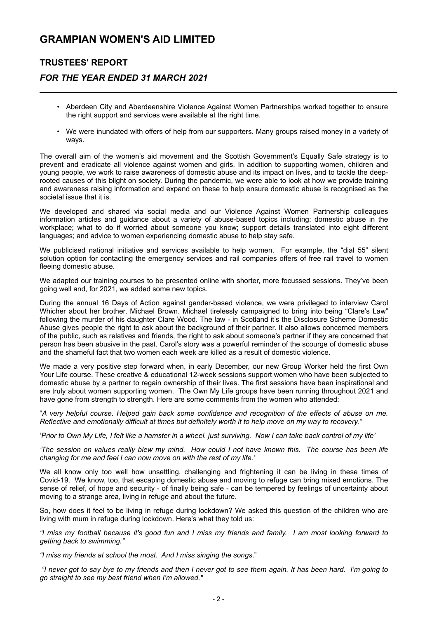### TRUSTEES' REPORT

### FOR THE YEAR ENDED 31 MARCH 2021

- Aberdeen City and Aberdeenshire Violence Against Women Partnerships worked together to ensure the right support and services were available at the right time.
- We were inundated with offers of help from our supporters. Many groups raised money in a variety of ways.

The overall aim of the women's aid movement and the Scottish Government's Equally Safe strategy is to prevent and eradicate all violence against women and girls. In addition to supporting women, children and young people, we work to raise awareness of domestic abuse and its impact on lives, and to tackle the deeprooted causes of this blight on society. During the pandemic, we were able to look at how we provide training and awareness raising information and expand on these to help ensure domestic abuse is recognised as the societal issue that it is.

We developed and shared via social media and our Violence Against Women Partnership colleagues information articles and guidance about a variety of abuse-based topics including: domestic abuse in the workplace; what to do if worried about someone you know; support details translated into eight different languages; and advice to women experiencing domestic abuse to help stay safe.

We publicised national initiative and services available to help women. For example, the "dial 55" silent solution option for contacting the emergency services and rail companies offers of free rail travel to women fleeing domestic abuse.

We adapted our training courses to be presented online with shorter, more focussed sessions. They've been going well and, for 2021, we added some new topics.

During the annual 16 Days of Action against gender-based violence, we were privileged to interview Carol Whicher about her brother, Michael Brown. Michael tirelessly campaigned to bring into being "Clare's Law" following the murder of his daughter Clare Wood. The law - in Scotland it's the Disclosure Scheme Domestic Abuse gives people the right to ask about the background of their partner. It also allows concerned members of the public, such as relatives and friends, the right to ask about someone's partner if they are concerned that person has been abusive in the past. Carol's story was a powerful reminder of the scourge of domestic abuse and the shameful fact that two women each week are killed as a result of domestic violence.

We made a very positive step forward when, in early December, our new Group Worker held the first Own Your Life course. These creative & educational 12-week sessions support women who have been subjected to domestic abuse by a partner to regain ownership of their lives. The first sessions have been inspirational and are truly about women supporting women. The Own My Life groups have been running throughout 2021 and have gone from strength to strength. Here are some comments from the women who attended:

" A very helpful course. Helped gain back some confidence and recognition of the effects of abuse on me. Reflective and emotionally difficult at times but definitely worth it to help move on my way to recovery."

' Prior to Own My Life, I felt like a hamster in a wheel. just surviving. Now I can take back control of my life'

'The session on values really blew my mind. How could I not have known this. The course has been life changing for me and feel I can now move on with the rest of my life.'

We all know only too well how unsettling, challenging and frightening it can be living in these times of Covid-19. We know, too, that escaping domestic abuse and moving to refuge can bring mixed emotions. The sense of relief, of hope and security - of finally being safe - can be tempered by feelings of uncertainty about moving to a strange area, living in refuge and about the future.

So, how does it feel to be living in refuge during lockdown? We asked this question of the children who are living with mum in refuge during lockdown. Here's what they told us:

"I miss my football because it's good fun and I miss my friends and family. I am most looking forward to getting back to swimming."

"I miss my friends at school the most. And I miss singing the songs ."

 "I never got to say bye to my friends and then I never got to see them again. It has been hard. I'm going to go straight to see my best friend when I'm allowed."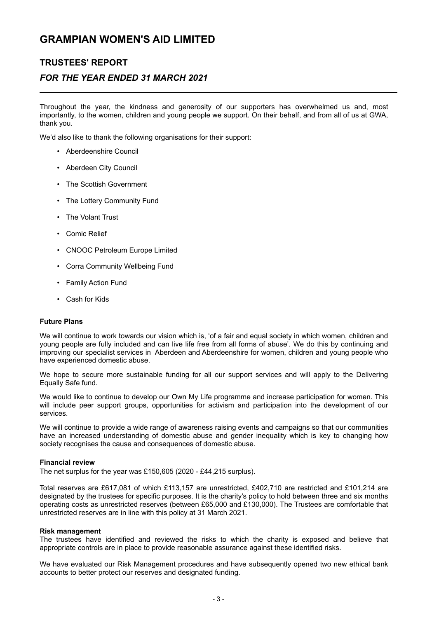### TRUSTEES' REPORT

### FOR THE YEAR ENDED 31 MARCH 2021

Throughout the year, the kindness and generosity of our supporters has overwhelmed us and, most importantly, to the women, children and young people we support. On their behalf, and from all of us at GWA, thank you.

We'd also like to thank the following organisations for their support:

- Aberdeenshire Council
- Aberdeen City Council
- The Scottish Government
- The Lottery Community Fund
- The Volant Trust
- Comic Relief
- CNOOC Petroleum Europe Limited
- Corra Community Wellbeing Fund
- **Family Action Fund**
- Cash for Kids

#### Future Plans

We will continue to work towards our vision which is, 'of a fair and equal society in which women, children and young people are fully included and can live life free from all forms of abuse'. We do this by continuing and improving our specialist services in Aberdeen and Aberdeenshire for women, children and young people who have experienced domestic abuse.

We hope to secure more sustainable funding for all our support services and will apply to the Delivering Equally Safe fund.

We would like to continue to develop our Own My Life programme and increase participation for women. This will include peer support groups, opportunities for activism and participation into the development of our services.

We will continue to provide a wide range of awareness raising events and campaigns so that our communities have an increased understanding of domestic abuse and gender inequality which is key to changing how society recognises the cause and consequences of domestic abuse.

#### Financial review

The net surplus for the year was £150,605 (2020 - £44,215 surplus).

Total reserves are £617,081 of which £113,157 are unrestricted, £402,710 are restricted and £101,214 are designated by the trustees for specific purposes. It is the charity's policy to hold between three and six months operating costs as unrestricted reserves (between £65,000 and £130,000). The Trustees are comfortable that unrestricted reserves are in line with this policy at 31 March 2021.

#### Risk management

The trustees have identified and reviewed the risks to which the charity is exposed and believe that appropriate controls are in place to provide reasonable assurance against these identified risks.

We have evaluated our Risk Management procedures and have subsequently opened two new ethical bank accounts to better protect our reserves and designated funding.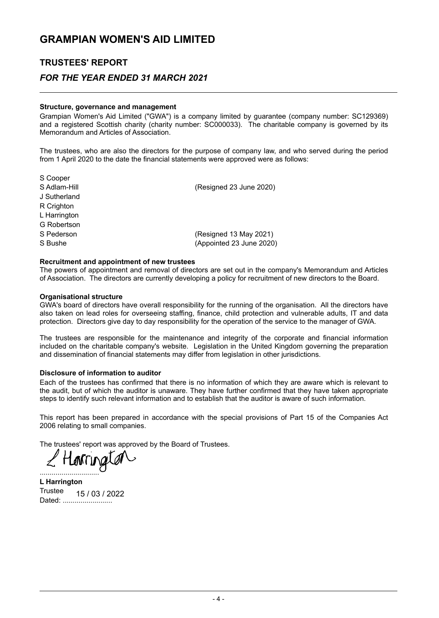### TRUSTEES' REPORT

### FOR THE YEAR ENDED 31 MARCH 2021

#### Structure, governance and management

Grampian Women's Aid Limited ("GWA") is a company limited by guarantee (company number: SC129369) and a registered Scottish charity (charity number: SC000033). The charitable company is governed by its Memorandum and Articles of Association.

The trustees, who are also the directors for the purpose of company law, and who served during the period from 1 April 2020 to the date the financial statements were approved were as follows:

| S Cooper     |                          |
|--------------|--------------------------|
| S Adlam-Hill | (Resigned 23 June 2020)  |
| J Sutherland |                          |
| R Crighton   |                          |
| L Harrington |                          |
| G Robertson  |                          |
| S Pederson   | (Resigned 13 May 2021)   |
| S Bushe      | (Appointed 23 June 2020) |
|              |                          |

#### Recruitment and appointment of new trustees

The powers of appointment and removal of directors are set out in the company's Memorandum and Articles of Association. The directors are currently developing a policy for recruitment of new directors to the Board.

#### Organisational structure

GWA's board of directors have overall responsibility for the running of the organisation. All the directors have also taken on lead roles for overseeing staffing, finance, child protection and vulnerable adults, IT and data protection. Directors give day to day responsibility for the operation of the service to the manager of GWA.

The trustees are responsible for the maintenance and integrity of the corporate and financial information included on the charitable company's website. Legislation in the United Kingdom governing the preparation and dissemination of financial statements may differ from legislation in other jurisdictions.

#### Disclosure of information to auditor

Each of the trustees has confirmed that there is no information of which they are aware which is relevant to the audit, but of which the auditor is unaware. They have further confirmed that they have taken appropriate steps to identify such relevant information and to establish that the auditor is aware of such information.

This report has been prepared in accordance with the special provisions of Part 15 of the Companies Act 2006 relating to small companies.

The trustees' report was approved by the Board of Trustees.

..............................

L Harrington Trustee Dated: .......................... 15 / 03 / 2022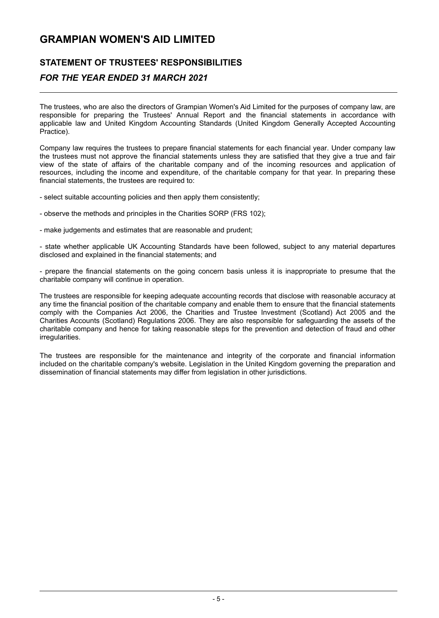# STATEMENT OF TRUSTEES' RESPONSIBILITIES

### FOR THE YEAR ENDED 31 MARCH 2021

The trustees, who are also the directors of Grampian Women's Aid Limited for the purposes of company law, are responsible for preparing the Trustees' Annual Report and the financial statements in accordance with applicable law and United Kingdom Accounting Standards (United Kingdom Generally Accepted Accounting Practice).

Company law requires the trustees to prepare financial statements for each financial year . Under company law the trustees must not approve the financial statements unless they are satisfied that they give a true and fair view of the state of affairs of the charitable company and of the incoming resources and application of resources, including the income and expenditure, of the charitable company for that year. In preparing these financial statements, the trustees are required to:

- select suitable accounting policies and then apply them consistently;

- observe the methods and principles in the Charities SORP (FRS 102);
- make judgements and estimates that are reasonable and prudent;

- state whether applicable UK Accounting Standards have been followed, subject to any material departures disclosed and explained in the financial statements; and

- prepare the financial statements on the going concern basis unless it is inappropriate to presume that the charitable company will continue in operation.

The trustees are responsible for keeping adequate accounting records that disclose with reasonable accuracy at any time the financial position of the charitable company and enable them to ensure that the financial statements comply with the Companies Act 2006, the Charities and Trustee Investment (Scotland) Act 2005 and the Charities Accounts (Scotland) Regulations 2006. They are also responsible for safeguarding the assets of the charitable company and hence for taking reasonable steps for the prevention and detection of fraud and other irregularities.

The trustees are responsible for the maintenance and integrity of the corporate and financial information included on the charitable company's website. Legislation in the United Kingdom governing the preparation and dissemination of financial statements may differ from legislation in other jurisdictions.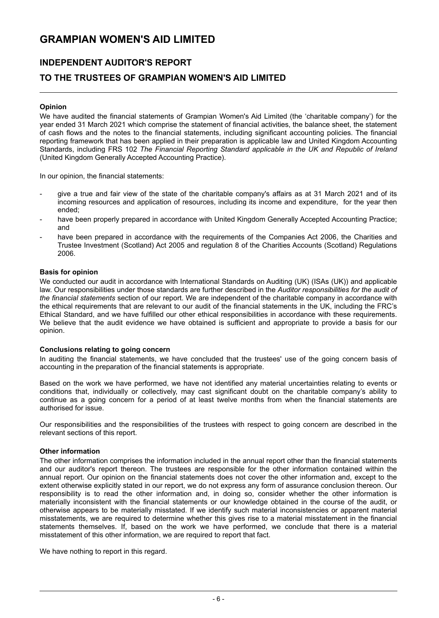### INDEPENDENT AUDITOR'S REPORT

### TO THE TRUSTEES OF GRAMPIAN WOMEN'S AID LIMITED

#### Opinion

We have audited the financial statements of Grampian Women's Aid Limited (the 'charitable company') for the year ended 31 March 2021 which comprise the statement of financial activities, the balance sheet, the statement of cash flows and the notes to the financial statements, including significant accounting policies. The financial reporting framework that has been applied in their preparation is applicable law and United Kingdom Accounting Standards, including FRS 102 The Financial Reporting Standard applicable in the UK and Republic of Ireland (United Kingdom Generally Accepted Accounting Practice) .

In our opinion, the financial statements:

- give a true and fair view of the state of the charitable company's affairs as at 31 March 2021 and of its incoming resources and application of resources, including its income and expenditure, for the year then ended;
- have been properly prepared in accordance with United Kingdom Generally Accepted Accounting Practice; and
- have been prepared in accordance with the requirements of the Companies Act 2006, the Charities and Trustee Investment (Scotland) Act 2005 and regulation 8 of the Charities Accounts (Scotland) Regulations 2006.

#### Basis for opinion

We conducted our audit in accordance with International Standards on Auditing (UK) (ISAs (UK)) and applicable law. Our responsibilities under those standards are further described in the Auditor responsibilities for the audit of the financial statements section of our report. We are independent of the charitable company in accordance with the ethical requirements that are relevant to our audit of the financial statements in the UK, including the FRC's Ethical Standard, and we have fulfilled our other ethical responsibilities in accordance with these requirements. We believe that the audit evidence we have obtained is sufficient and appropriate to provide a basis for our opinion.

#### Conclusions relating to going concern

In auditing the financial statements, we have concluded that the trustees' use of the going concern basis of accounting in the preparation of the financial statements is appropriate.

Based on the work we have performed, we have not identified any material uncertainties relating to events or conditions that, individually or collectively, may cast significant doubt on the charitable company's ability to continue as a going concern for a period of at least twelve months from when the financial statements are authorised for issue.

Our responsibilities and the responsibilities of the trustees with respect to going concern are described in the relevant sections of this report.

#### Other information

The other information comprises the information included in the annual report other than the financial statements and our auditor's report thereon. The trustees are responsible for the other information contained within the annual report. Our opinion on the financial statements does not cover the other information and , except to the extent otherwise explicitly stated in our report, we do not express any form of assurance conclusion thereon. Our responsibility is to read the other information and, in doing so, consider whether the other information is materially inconsistent with the financial statements or our knowledge obtained in the course of the audit, or otherwise appears to be materially misstated. If we identify such material inconsistencies or apparent material misstatements, we are required to determine whether this gives rise to a material misstatement in the financial statements themselves. If, based on the work we have performed, we conclude that there is a material misstatement of this other information, we are required to report that fact.

We have nothing to report in this regard.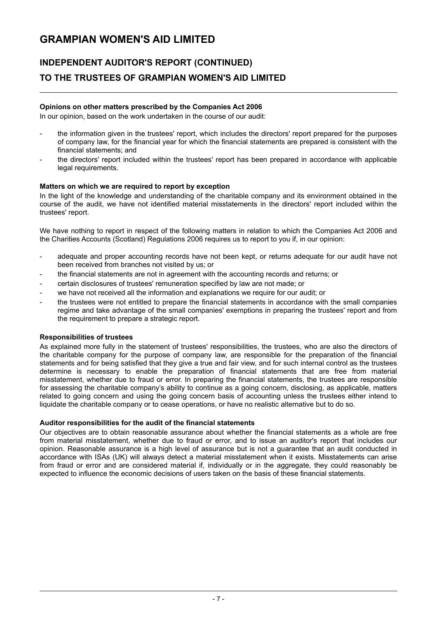# INDEPENDENT AUDITOR'S REPORT (CONTINUED) TO THE TRUSTEES OF GRAMPIAN WOMEN'S AID LIMITED

#### Opinions on other matters prescribed by the Companies Act 2006

In our opinion, based on the work undertaken in the course of our audit:

- the information given in the trustees' report, which includes the directors' report prepared for the purposes of company law, for the financial year for which the financial statements are prepared is consistent with the financial statements; and
- the directors' report included within the trustees' report has been prepared in accordance with applicable legal requirements.

#### Matters on which we are required to report by exception

In the light of the knowledge and understanding of the charitable company and its environment obtained in the course of the audit, we have not identified material misstatements in the directors' report included within the trustees' report.

We have nothing to report in respect of the following matters in relation to which the Companies Act 2006 and the Charities Accounts (Scotland) Regulations 2006 requires us to report to you if, in our opinion:

- adequate and proper accounting records have not been kept, or returns adequate for our audit have not been received from branches not visited by us; or
- the financial statements are not in agreement with the accounting records and returns; or
- certain disclosures of trustees' remuneration specified by law are not made; or
- we have not received all the information and explanations we require for our audit; or
- the trustees were not entitled to prepare the financial statements in accordance with the small companies regime and take advantage of the small companies' exemptions in preparing the trustees' report and from the requirement to prepare a strategic report.

#### Responsibilities of trustees

As explained more fully in the statement of trustees' responsibilities, the trustees, who are also the directors of the charitable company for the purpose of company law, are responsible for the preparation of the financial statements and for being satisfied that they give a true and fair view, and for such internal control as the trustees determine is necessary to enable the preparation of financial statements that are free from material misstatement, whether due to fraud or error. In preparing the financial statements, the trustees are responsible for assessing the charitable company's ability to continue as a going concern, disclosing, as applicable, matters related to going concern and using the going concern basis of accounting unless the trustees either intend to liquidate the charitable company or to cease operations, or have no realistic alternative but to do so.

#### Auditor responsibilities for the audit of the financial statements

Our objectives are to obtain reasonable assurance about whether the financial statements as a whole are free from material misstatement, whether due to fraud or error, and to issue an auditor's report that includes our opinion. Reasonable assurance is a high level of assurance but is not a guarantee that an audit conducted in accordance with ISAs (UK) will always detect a material misstatement when it exists. Misstatements can arise from fraud or error and are considered material if, individually or in the aggregate, they could reasonably be expected to influence the economic decisions of users taken on the basis of these financial statements.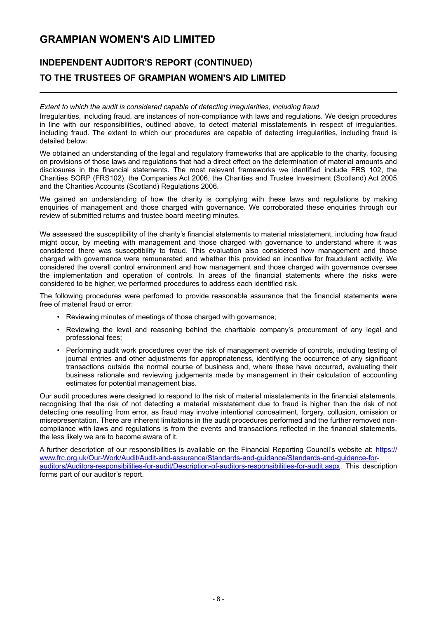# INDEPENDENT AUDITOR'S REPORT (CONTINUED) TO THE TRUSTEES OF GRAMPIAN WOMEN'S AID LIMITED

#### Extent to which the audit is considered capable of detecting irregularities, including fraud

Irregularities, including fraud, are instances of non-compliance with laws and regulations. We design procedures in line with our responsibilities, outlined above, to detect material misstatements in respect of irregularities, including fraud. The extent to which our procedures are capable of detecting irregularities, including fraud is detailed below:

We obtained an understanding of the legal and regulatory frameworks that are applicable to the charity, focusing on provisions of those laws and regulations that had a direct effect on the determination of material amounts and disclosures in the financial statements. The most relevant frameworks we identified include FRS 102, the Charities SORP (FRS102), the Companies Act 2006, the Charities and Trustee Investment (Scotland) Act 2005 and the Charities Accounts (Scotland) Regulations 2006.

We gained an understanding of how the charity is complying with these laws and regulations by making enquiries of management and those charged with governance. We corroborated these enquiries through our review of submitted returns and trustee board meeting minutes.

We assessed the susceptibility of the charity's financial statements to material misstatement, including how fraud might occur, by meeting with management and those charged with governance to understand where it was considered there was susceptibility to fraud. This evaluation also considered how management and those charged with governance were remunerated and whether this provided an incentive for fraudulent activity. We considered the overall control environment and how management and those charged with governance oversee the implementation and operation of controls. In areas of the financial statements where the risks were considered to be higher, we performed procedures to address each identified risk.

The following procedures were perfomed to provide reasonable assurance that the financial statements were free of material fraud or error:

- Reviewing minutes of meetings of those charged with governance;
- Reviewing the level and reasoning behind the charitable company's procurement of any legal and professional fees;
- Performing audit work procedures over the risk of management override of controls, including testing of journal entries and other adjustments for appropriateness , identifying the occurrence of any significant transactions outside the normal course of business and, where these have occurred, evaluating their business rationale and reviewing judgements made by management in their calculation of accounting estimates for potential management bias.

Our audit procedures were designed to respond to the risk of material misstatements in the financial statements, recognising that the risk of not detecting a material misstatement due to fraud is higher than the risk of not detecting one resulting from error, as fraud may involve intentional concealment, forgery, collusion, omission or misrepresentation. There are inherent limitations in the audit procedures performed and the further removed noncompliance with laws and regulations is from the events and transactions reflected in the financial statements, the less likely we are to become aware of it.

A further description of our responsibilities is available on the Financial Reporting Council's website at: https:// www.frc.org.uk/Our-Work/Audit/Audit-and-assurance/Standards-and-guidance/Standards-and-guidance-forauditors/Auditors-responsibilities-for-audit/Description-of-auditors-responsibilities-for-audit.aspx . This description forms part of our auditor's report.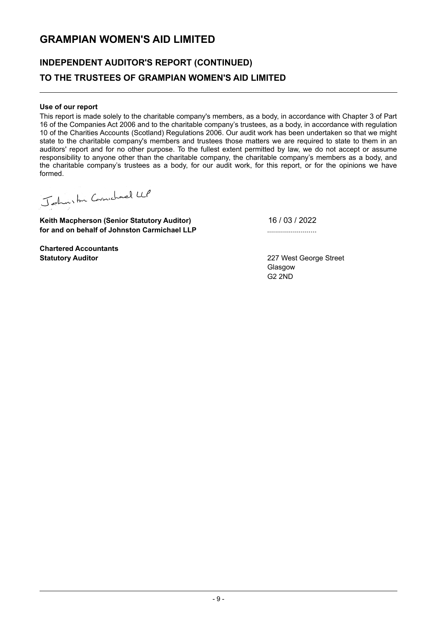# INDEPENDENT AUDITOR'S REPORT (CONTINUED) TO THE TRUSTEES OF GRAMPIAN WOMEN'S AID LIMITED

#### Use of our report

This report is made solely to the charitable company's members, as a body, in accordance with Chapter 3 of Part 16 of the Companies Act 2006 and to the charitable company's trustees, as a body, in accordance with regulation 10 of the Charities Accounts (Scotland) Regulations 2006. Our audit work has been undertaken so that we might state to the charitable company's members and trustees those matters we are required to state to them in an auditors' report and for no other purpose. To the fullest extent permitted by law, we do not accept or assume responsibility to anyone other than the charitable company, the charitable company's members as a body, and the charitable company's trustees as a body, for our audit work, for this report, or for the opinions we have formed.

Johnston Cornschard LLP

Keith Macpherson (Senior Statutory Auditor) for and on behalf of Johnston Carmichael LLP **...............................**....

16 / 03 / 2022

Chartered Accountants Statutory Auditor 227 West George Street

Glasgow G2 2ND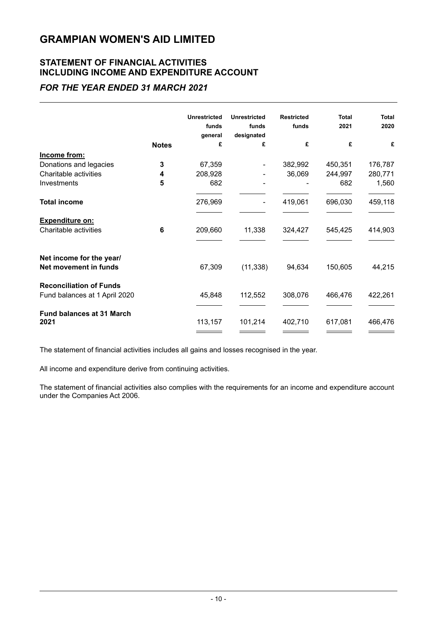### STATEMENT OF FINANCIAL ACTIVITIES INCLUDING INCOME AND EXPENDITURE ACCOUNT

### FOR THE YEAR ENDED 31 MARCH 2021

|                                                                 |              | <b>Unrestricted</b><br>funds<br>general | <b>Unrestricted</b><br>funds<br>designated | <b>Restricted</b><br>funds | <b>Total</b><br>2021 | <b>Total</b><br>2020 |
|-----------------------------------------------------------------|--------------|-----------------------------------------|--------------------------------------------|----------------------------|----------------------|----------------------|
|                                                                 | <b>Notes</b> | £                                       | £                                          | £                          | £                    | £                    |
| Income from:                                                    |              |                                         |                                            |                            |                      |                      |
| Donations and legacies                                          | 3            | 67,359                                  |                                            | 382,992                    | 450,351              | 176,787              |
| Charitable activities                                           | 4            | 208,928                                 |                                            | 36,069                     | 244,997              | 280,771              |
| Investments                                                     | 5            | 682                                     |                                            |                            | 682                  | 1,560                |
| <b>Total income</b>                                             |              | 276,969                                 |                                            | 419,061                    | 696,030              | 459,118              |
| <b>Expenditure on:</b>                                          |              |                                         |                                            |                            |                      |                      |
| Charitable activities                                           | 6            | 209,660                                 | 11,338                                     | 324,427                    | 545,425              | 414,903              |
| Net income for the year/<br>Net movement in funds               |              | 67,309                                  | (11, 338)                                  | 94,634                     | 150,605              | 44,215               |
| <b>Reconciliation of Funds</b><br>Fund balances at 1 April 2020 |              | 45,848                                  | 112,552                                    | 308,076                    | 466,476              | 422,261              |
| <b>Fund balances at 31 March</b><br>2021                        |              | 113,157                                 | 101,214                                    | 402,710                    | 617,081              | 466,476              |

The statement of financial activities includes all gains and losses recognised in the year.

All income and expenditure derive from continuing activities.

The statement of financial activities also complies with the requirements for an income and expenditure account under the Companies Act 2006.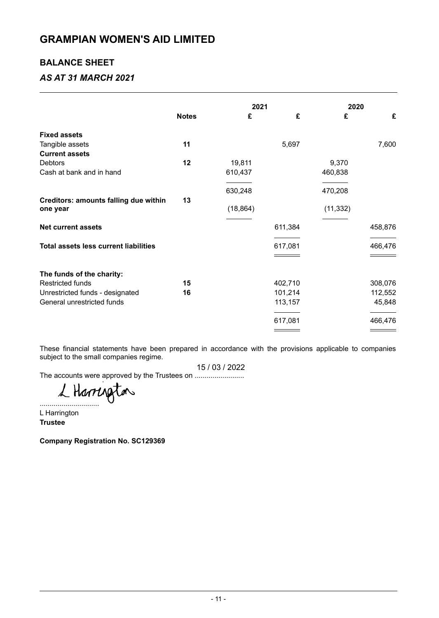### BALANCE SHEET

### AS AT 31 MARCH 2021

|                                                          |              |           | 2021    |           | 2020    |  |
|----------------------------------------------------------|--------------|-----------|---------|-----------|---------|--|
|                                                          | <b>Notes</b> | £         | £       | £         | £       |  |
| <b>Fixed assets</b>                                      |              |           |         |           |         |  |
| Tangible assets                                          | 11           |           | 5,697   |           | 7,600   |  |
| <b>Current assets</b>                                    |              |           |         |           |         |  |
| <b>Debtors</b>                                           | 12           | 19,811    |         | 9,370     |         |  |
| Cash at bank and in hand                                 |              | 610,437   |         | 460,838   |         |  |
|                                                          |              | 630,248   |         | 470,208   |         |  |
| <b>Creditors: amounts falling due within</b><br>one year | 13           | (18, 864) |         | (11, 332) |         |  |
| <b>Net current assets</b>                                |              |           | 611,384 |           | 458,876 |  |
| <b>Total assets less current liabilities</b>             |              |           | 617,081 |           | 466,476 |  |
|                                                          |              |           |         |           |         |  |
| The funds of the charity:                                |              |           |         |           |         |  |
| <b>Restricted funds</b>                                  | 15           |           | 402,710 |           | 308,076 |  |
| Unrestricted funds - designated                          | 16           |           | 101,214 |           | 112,552 |  |
| General unrestricted funds                               |              |           | 113,157 |           | 45,848  |  |
|                                                          |              |           | 617,081 |           | 466,476 |  |
|                                                          |              |           |         |           |         |  |

These financial statements have been prepared in accordance with the provisions applicable to companies subject to the small companies regime.

15 / 03 / 2022

The accounts were approved by the Trustees on ..................................

L Harrington

L Harrington **Trustee** 

Company Registration No. SC129369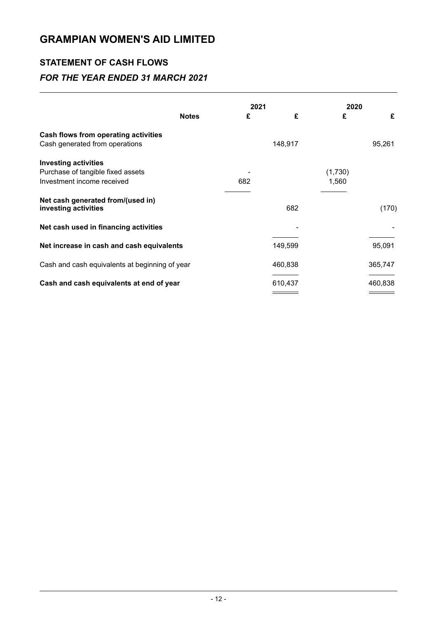### STATEMENT OF CASH FLOWS

### FOR THE YEAR ENDED 31 MARCH 2021

|                                                           | 2021    | 2020    |
|-----------------------------------------------------------|---------|---------|
| <b>Notes</b>                                              | £<br>£  | £<br>£  |
| Cash flows from operating activities                      |         |         |
| Cash generated from operations                            | 148,917 | 95,261  |
| <b>Investing activities</b>                               |         |         |
| Purchase of tangible fixed assets                         |         | (1,730) |
| Investment income received                                | 682     | 1,560   |
| Net cash generated from/(used in)<br>investing activities | 682     | (170)   |
| Net cash used in financing activities                     |         |         |
| Net increase in cash and cash equivalents                 | 149,599 | 95,091  |
| Cash and cash equivalents at beginning of year            | 460,838 | 365,747 |
| Cash and cash equivalents at end of year                  | 610,437 | 460,838 |
|                                                           |         |         |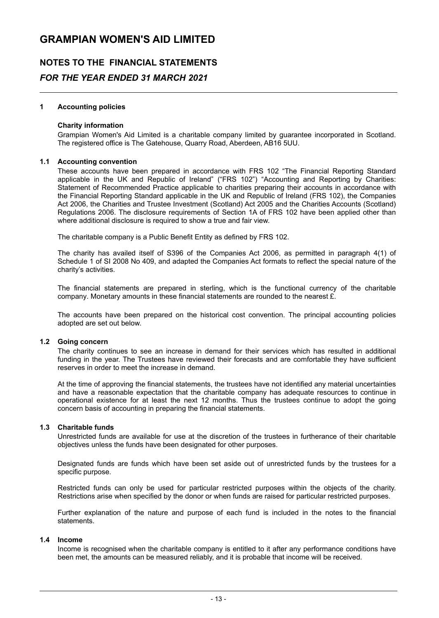# NOTES TO THE FINANCIAL STATEMENTS FOR THE YEAR ENDED 31 MARCH 2021

#### 1 Accounting policies

#### Charity information

Grampian Women's Aid Limited is a charitable company limited by guarantee incorporated in Scotland. The registered office is The Gatehouse, Quarry Road, Aberdeen, AB16 5UU.

#### 1.1 Accounting convention

These accounts have been prepared in accordance with FRS 102 "The Financial Reporting Standard applicable in the UK and Republic of Ireland" ("FRS 102") "Accounting and Reporting by Charities : Statement of Recommended Practice applicable to charities preparing their accounts in accordance with the Financial Reporting Standard applicable in the UK and Republic of Ireland (FRS 102), the Companies Act 2006, the Charities and Trustee Investment (Scotland) Act 2005 and the Charities Accounts (Scotland) Regulations 2006. The disclosure requirements of Section 1A of FRS 102 have been applied other than where additional disclosure is required to show a true and fair view.

The charitable company is a Public Benefit Entity as defined by FRS 102.

The charity has availed itself of S396 of the Companies Act 2006, as permitted in paragraph 4(1) of Schedule 1 of SI 2008 No 409, and adapted the Companies Act formats to reflect the special nature of the charity's activities.

The financial statements are prepared in sterling, which is the functional currency of the charitable company. Monetary amounts in these financial statements are rounded to the nearest  $\hat{\mathbf{E}}$ .

The accounts have been prepared on the historical cost convention. The principal accounting policies adopted are set out below.

#### 1.2 Going concern

The charity continues to see an increase in demand for their services which has resulted in additional funding in the year. The Trustees have reviewed their forecasts and are comfortable they have sufficient reserves in order to meet the increase in demand.

At the time of approving the financial statements, the trustees have not identified any material uncertainties and have a reasonable expectation that the charitable company has adequate resources to continue in operational existence for at least the next 12 months . Thus the trustees continue to adopt the going concern basis of accounting in preparing the financial statements.

#### 1.3 Charitable funds

Unrestricted funds are available for use at the discretion of the trustees in furtherance of their charitable objectives unless the funds have been designated for other purposes.

Designated funds are funds which have been set aside out of unrestricted funds by the trustees for a specific purpose.

Restricted funds can only be used for particular restricted purposes within the objects of the charity. Restrictions arise when specified by the donor or when funds are raised for particular restricted purposes.

Further explanation of the nature and purpose of each fund is included in the notes to the financial statements.

#### 1.4 Income

Income is recognised when the charitable company is entitled to it after any performance conditions have been met, the amounts can be measured reliably, and it is probable that income will be received.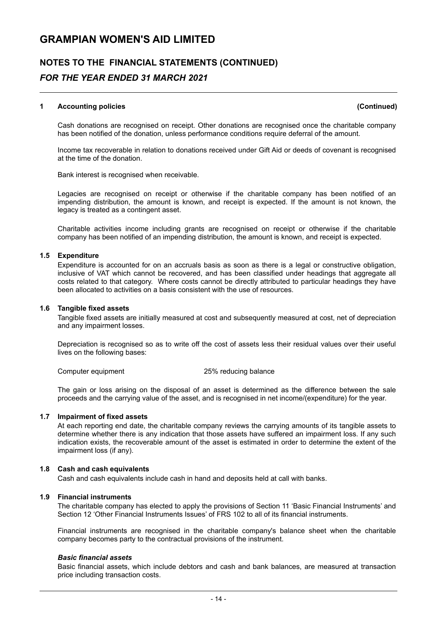# NOTES TO THE FINANCIAL STATEMENTS (CONTINUED) FOR THE YEAR ENDED 31 MARCH 2021

#### 1 Accounting policies (Continued)

Cash donations are recognised on receipt. Other donations are recognised once the charitable company has been notified of the donation, unless performance conditions require deferral of the amount.

Income tax recoverable in relation to donations received under Gift Aid or deeds of covenant is recognised at the time of the donation.

Bank interest is recognised when receivable.

Legacies are recognised on receipt or otherwise if the charitable company has been notified of an impending distribution, the amount is known, and receipt is expected. If the amount is not known, the legacy is treated as a contingent asset.

Charitable activities income including grants are recognised on receipt or otherwise if the charitable company has been notified of an impending distribution, the amount is known, and receipt is expected.

#### 1.5 Expenditure

Expenditure is accounted for on an accruals basis as soon as there is a legal or constructive obligation, inclusive of VAT which cannot be recovered, and has been classified under headings that aggregate all costs related to that category. Where costs cannot be directly attributed to particular headings they have been allocated to activities on a basis consistent with the use of resources.

#### 1.6 Tangible fixed assets

Tangible fixed assets are initially measured at cost and subsequently measured at cost, net of depreciation and any impairment losses.

Depreciation is recognised so as to write off the cost of assets less their residual values over their useful lives on the following bases:

Computer equipment 25% reducing balance

The gain or loss arising on the disposal of an asset is determined as the difference between the sale proceeds and the carrying value of the asset, and is recognised in net income/(expenditure) for the year.

#### 1.7 Impairment of fixed assets

At each reporting end date, the charitable company reviews the carrying amounts of its tangible assets to determine whether there is any indication that those assets have suffered an impairment loss. If any such indication exists, the recoverable amount of the asset is estimated in order to determine the extent of the impairment loss (if any).

#### 1.8 Cash and cash equivalents

Cash and cash equivalents include cash in hand and deposits held at call with banks.

#### 1.9 Financial instruments

The charitable company has elected to apply the provisions of Section 11 'Basic Financial Instruments' and Section 12 'Other Financial Instruments Issues' of FRS 102 to all of its financial instruments.

Financial instruments are recognised in the charitable company's balance sheet when the charitable company becomes party to the contractual provisions of the instrument.

#### Basic financial assets

Basic financial assets, which include debtors and cash and bank balances, are measured at transaction price including transaction costs.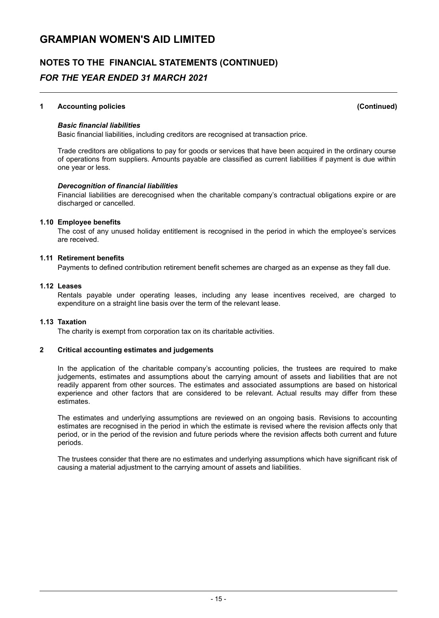### NOTES TO THE FINANCIAL STATEMENTS (CONTINUED) FOR THE YEAR ENDED 31 MARCH 2021

#### 1 Accounting policies (Continued)

#### Basic financial liabilities

Basic financial liabilities, including creditors are recognised at transaction price .

Trade creditors are obligations to pay for goods or services that have been acquired in the ordinary course of operations from suppliers. Amounts payable are classified as current liabilities if payment is due within one year or less .

#### Derecognition of financial liabilities

Financial liabilities are derecognised when the charitable company 's contractual obligations expire or are discharged or cancelled.

#### 1.10 Employee benefits

The cost of any unused holiday entitlement is recognised in the period in which the employee's services are received.

#### 1.11 Retirement benefits

Payments to defined contribution retirement benefit schemes are charged as an expense as they fall due.

#### 1.12 Leases

Rentals payable under operating leases, including any lease incentives received, are charged to expenditure on a straight line basis over the term of the relevant lease.

#### 1.13 Taxation

The charity is exempt from corporation tax on its charitable activities.

#### 2 Critical accounting estimates and judgements

In the application of the charitable company's accounting policies, the trustees are required to make judgements, estimates and assumptions about the carrying amount of assets and liabilities that are not readily apparent from other sources. The estimates and associated assumptions are based on historical experience and other factors that are considered to be relevant. Actual results may differ from these estimates.

The estimates and underlying assumptions are reviewed on an ongoing basis. Revisions to accounting estimates are recognised in the period in which the estimate is revised where the revision affects only that period, or in the period of the revision and future periods where the revision affects both current and future periods.

The trustees consider that there are no estimates and underlying assumptions which have significant risk of causing a material adjustment to the carrying amount of assets and liabilities.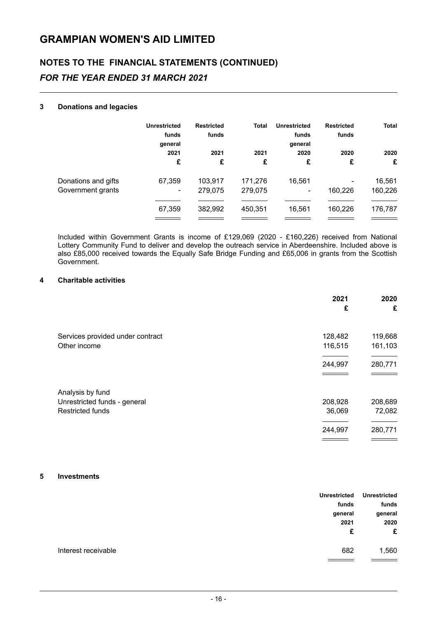# NOTES TO THE FINANCIAL STATEMENTS (CONTINUED) FOR THE YEAR ENDED 31 MARCH 2021

#### 3 Donations and legacies

|                     | <b>Unrestricted</b><br>funds<br>general | <b>Restricted</b><br>funds | <b>Total</b> | Unrestricted<br>funds<br>general | <b>Restricted</b><br>funds | <b>Total</b> |
|---------------------|-----------------------------------------|----------------------------|--------------|----------------------------------|----------------------------|--------------|
|                     | 2021                                    | 2021                       | 2021         | 2020                             | 2020                       | 2020         |
|                     | £                                       | £                          | £            | £                                | £                          | £            |
| Donations and gifts | 67,359                                  | 103,917                    | 171,276      | 16.561                           |                            | 16,561       |
| Government grants   | $\overline{\phantom{a}}$                | 279.075                    | 279,075      | $\overline{\phantom{0}}$         | 160,226                    | 160,226      |
|                     |                                         |                            |              |                                  |                            |              |
|                     | 67,359                                  | 382,992                    | 450,351      | 16,561                           | 160,226                    | 176,787      |
|                     |                                         |                            |              |                                  |                            |              |

Included within Government Grants is income of £129,069 (2020 - £160,226) received from National Lottery Community Fund to deliver and develop the outreach service in Aberdeenshire. Included above is also £85,000 received towards the Equally Safe Bridge Funding and £65,006 in grants from the Scottish Government.

#### 4 Charitable activities

|                                  | 2021<br>£ | 2020<br>£ |
|----------------------------------|-----------|-----------|
| Services provided under contract | 128,482   | 119,668   |
| Other income                     | 116,515   | 161,103   |
|                                  |           |           |
|                                  | 244,997   | 280,771   |
|                                  |           |           |
| Analysis by fund                 |           |           |
| Unrestricted funds - general     | 208,928   | 208,689   |
| <b>Restricted funds</b>          | 36,069    | 72,082    |
|                                  |           |           |
|                                  | 244,997   | 280,771   |
|                                  |           |           |

#### 5 Investments

| <b>Unrestricted</b> | <b>Unrestricted</b> |                     |
|---------------------|---------------------|---------------------|
| funds               | funds               |                     |
| general             | general             |                     |
| 2020                | 2021                |                     |
| £                   | £                   |                     |
| 1,560               | 682                 | Interest receivable |
|                     |                     |                     |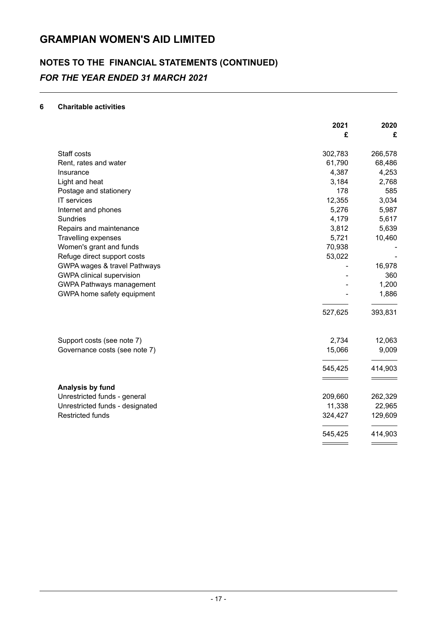# NOTES TO THE FINANCIAL STATEMENTS (CONTINUED) FOR THE YEAR ENDED 31 MARCH 2021

#### 6 Charitable activities

| 2021                                                        | 2020    |
|-------------------------------------------------------------|---------|
| £                                                           | £       |
| Staff costs<br>302,783                                      | 266,578 |
| 61,790<br>Rent, rates and water                             | 68,486  |
| 4,387<br>Insurance                                          | 4,253   |
| 3,184<br>Light and heat                                     | 2,768   |
| 178<br>Postage and stationery                               | 585     |
| IT services<br>12,355                                       | 3,034   |
| 5,276<br>Internet and phones                                | 5,987   |
| Sundries<br>4,179                                           | 5,617   |
| 3,812<br>Repairs and maintenance                            | 5,639   |
| 5,721<br>Travelling expenses                                | 10,460  |
| Women's grant and funds<br>70,938                           |         |
| Refuge direct support costs<br>53,022                       |         |
| GWPA wages & travel Pathways                                | 16,978  |
| <b>GWPA clinical supervision</b>                            | 360     |
| <b>GWPA Pathways management</b>                             | 1,200   |
| GWPA home safety equipment                                  | 1,886   |
| 527,625                                                     | 393,831 |
| 2,734                                                       | 12,063  |
| Support costs (see note 7)<br>15,066                        |         |
| Governance costs (see note 7)                               | 9,009   |
| 545,425                                                     | 414,903 |
|                                                             |         |
| Analysis by fund<br>Unrestricted funds - general<br>209,660 | 262,329 |
| Unrestricted funds - designated<br>11,338                   | 22,965  |
| <b>Restricted funds</b><br>324,427                          | 129,609 |
| 545,425                                                     | 414,903 |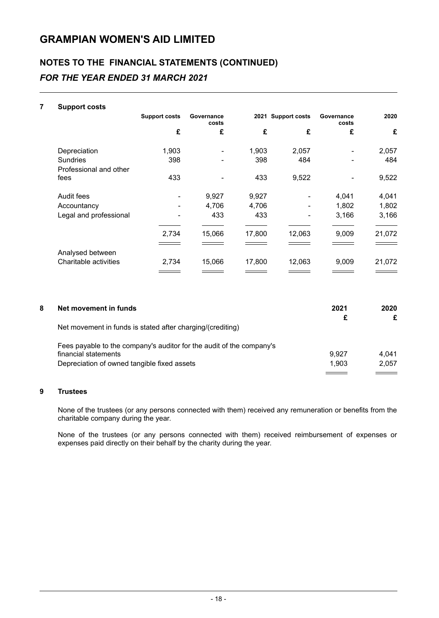# NOTES TO THE FINANCIAL STATEMENTS (CONTINUED) FOR THE YEAR ENDED 31 MARCH 2021

| 7 | <b>Support costs</b>   |                      |                     |        |                    |                     |        |
|---|------------------------|----------------------|---------------------|--------|--------------------|---------------------|--------|
|   |                        | <b>Support costs</b> | Governance<br>costs |        | 2021 Support costs | Governance<br>costs | 2020   |
|   |                        | £                    | £                   | £      | £                  | £                   | £      |
|   | Depreciation           | 1,903                |                     | 1,903  | 2,057              |                     | 2,057  |
|   | Sundries               | 398                  |                     | 398    | 484                |                     | 484    |
|   | Professional and other |                      |                     |        |                    |                     |        |
|   | fees                   | 433                  |                     | 433    | 9,522              |                     | 9,522  |
|   | Audit fees             |                      | 9,927               | 9,927  |                    | 4,041               | 4,041  |
|   | Accountancy            |                      | 4,706               | 4,706  |                    | 1,802               | 1,802  |
|   | Legal and professional |                      | 433                 | 433    |                    | 3,166               | 3,166  |
|   |                        | 2,734                | 15,066              | 17,800 | 12,063             | 9,009               | 21,072 |
|   |                        |                      |                     |        |                    |                     |        |
|   | Analysed between       |                      |                     |        |                    |                     |        |
|   | Charitable activities  | 2,734                | 15,066              | 17,800 | 12,063             | 9,009               | 21,072 |
|   |                        |                      |                     |        |                    |                     |        |

| 8 | Net movement in funds                                                | 2021  | 2020  |
|---|----------------------------------------------------------------------|-------|-------|
|   | Net movement in funds is stated after charging/(crediting)           |       | £     |
|   |                                                                      |       |       |
|   | Fees payable to the company's auditor for the audit of the company's |       |       |
|   | financial statements                                                 | 9.927 | 4,041 |
|   | Depreciation of owned tangible fixed assets                          | 1.903 | 2,057 |
|   |                                                                      |       |       |

#### 9 Trustees

None of the trustees (or any persons connected with them) received any remuneration or benefits from the charitable company during the year.

None of the trustees (or any persons connected with them) received reimbursement of expenses or expenses paid directly on their behalf by the charity during the year.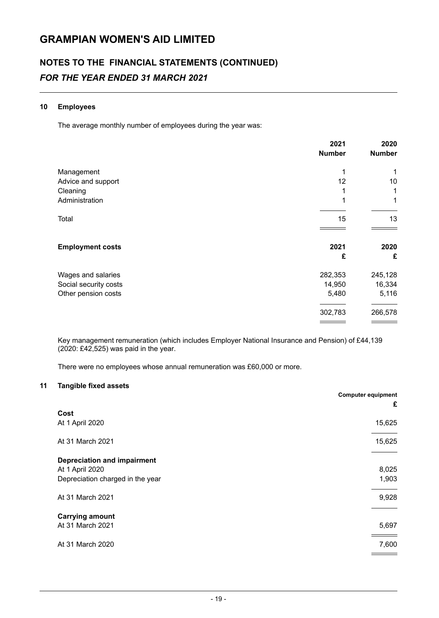# NOTES TO THE FINANCIAL STATEMENTS (CONTINUED) FOR THE YEAR ENDED 31 MARCH 2021

#### 10 Employees

The average monthly number of employees during the year was:

|                         | 2021<br><b>Number</b> | 2020<br><b>Number</b> |
|-------------------------|-----------------------|-----------------------|
| Management              | 1                     | 1                     |
| Advice and support      | 12                    | 10                    |
| Cleaning                |                       | 1                     |
| Administration          | 1                     | 1                     |
| Total                   | 15                    | 13                    |
|                         |                       |                       |
| <b>Employment costs</b> | 2021                  | 2020                  |
|                         | £                     | £                     |
| Wages and salaries      | 282,353               | 245,128               |
| Social security costs   | 14,950                | 16,334                |
| Other pension costs     | 5,480                 | 5,116                 |
|                         | 302,783               | 266,578               |
|                         |                       |                       |

Key management remuneration (which includes Employer National Insurance and Pension) of £44,139 (2020: £42,525) was paid in the year .

There were no employees whose annual remuneration was £60,000 or more.

#### 11 Tangible fixed assets

|                                    | <b>Computer equipment</b> |
|------------------------------------|---------------------------|
|                                    | £                         |
| Cost<br>At 1 April 2020            | 15,625                    |
|                                    |                           |
| At 31 March 2021                   | 15,625                    |
|                                    |                           |
| <b>Depreciation and impairment</b> |                           |
| At 1 April 2020                    | 8,025                     |
| Depreciation charged in the year   | 1,903                     |
| At 31 March 2021                   | 9,928                     |
|                                    |                           |
| <b>Carrying amount</b>             |                           |
| At 31 March 2021                   | 5,697                     |
| At 31 March 2020                   | 7,600                     |
|                                    |                           |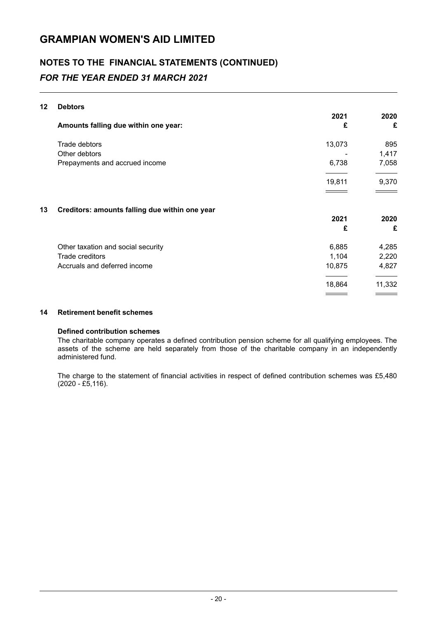# NOTES TO THE FINANCIAL STATEMENTS (CONTINUED) FOR THE YEAR ENDED 31 MARCH 2021

#### 12 Debtors

|    |                                                | 2021   | 2020   |
|----|------------------------------------------------|--------|--------|
|    | Amounts falling due within one year:           | £      | £      |
|    | Trade debtors                                  | 13,073 | 895    |
|    | Other debtors                                  |        | 1,417  |
|    | Prepayments and accrued income                 | 6,738  | 7,058  |
|    |                                                | 19,811 | 9,370  |
| 13 | Creditors: amounts falling due within one year |        |        |
|    |                                                | 2021   | 2020   |
|    |                                                | £      | £      |
|    | Other taxation and social security             | 6,885  | 4,285  |
|    | Trade creditors                                | 1,104  | 2,220  |
|    | Accruals and deferred income                   | 10,875 | 4,827  |
|    |                                                | 18,864 | 11,332 |
|    |                                                |        |        |

#### 14 Retirement benefit schemes

#### Defined contribution schemes

The charitable company operates a defined contribution pension scheme for all qualifying employees. The assets of the scheme are held separately from those of the charitable company in an independently administered fund.

The charge to the statement of financial activities in respect of defined contribution schemes was £5,480  $(2020 - \text{\pounds}5, 116).$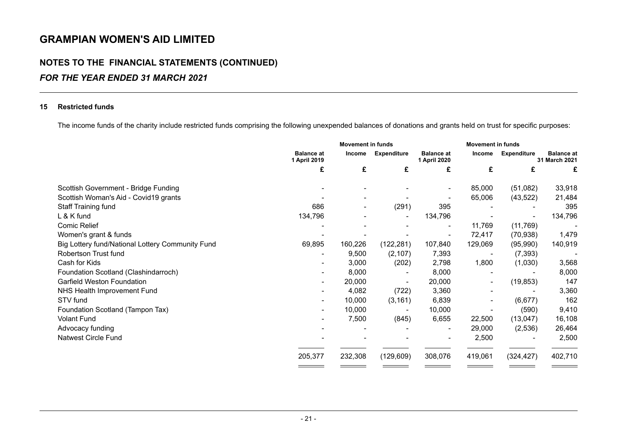## NOTES TO THE FINANCIAL STATEMENTS (CONTINUED) FOR THE YEAR ENDED 31 MARCH 2021

#### 15 Restricted funds

The income funds of the charity include restricted funds comprising the following unexpended balances of donations and grants held on trust for specific purposes:

|                                                  | <b>Movement in funds</b>          |                          |            | <b>Movement in funds</b>          |                          |                          |                                    |
|--------------------------------------------------|-----------------------------------|--------------------------|------------|-----------------------------------|--------------------------|--------------------------|------------------------------------|
|                                                  | <b>Balance at</b><br>1 April 2019 | Income                   |            | <b>Balance at</b><br>1 April 2020 | Income                   | <b>Expenditure</b>       | <b>Balance at</b><br>31 March 2021 |
|                                                  | £                                 | £                        | £          | £                                 | £                        | £                        | £                                  |
| Scottish Government - Bridge Funding             |                                   |                          |            | $\overline{\phantom{a}}$          | 85,000                   | (51,082)                 | 33,918                             |
| Scottish Woman's Aid - Covid19 grants            |                                   |                          |            |                                   | 65,006                   | (43, 522)                | 21,484                             |
| Staff Training fund                              | 686                               | $\overline{\phantom{a}}$ | (291)      | 395                               |                          |                          | 395                                |
| L & K fund                                       | 134,796                           |                          |            | 134,796                           |                          | $\overline{\phantom{0}}$ | 134,796                            |
| <b>Comic Relief</b>                              |                                   |                          |            | $\overline{\phantom{a}}$          | 11,769                   | (11,769)                 |                                    |
| Women's grant & funds                            |                                   |                          |            |                                   | 72,417                   | (70, 938)                | 1,479                              |
| Big Lottery fund/National Lottery Community Fund | 69,895                            | 160,226                  | (122, 281) | 107,840                           | 129,069                  | (95,990)                 | 140,919                            |
| Robertson Trust fund                             |                                   | 9,500                    | (2, 107)   | 7,393                             |                          | (7, 393)                 |                                    |
| Cash for Kids                                    |                                   | 3,000                    | (202)      | 2,798                             | 1,800                    | (1,030)                  | 3,568                              |
| Foundation Scotland (Clashindarroch)             |                                   | 8,000                    |            | 8,000                             |                          |                          | 8,000                              |
| <b>Garfield Weston Foundation</b>                | $\overline{\phantom{0}}$          | 20,000                   |            | 20,000                            | $\overline{\phantom{a}}$ | (19, 853)                | 147                                |
| NHS Health Improvement Fund                      | -                                 | 4,082                    | (722)      | 3,360                             |                          | $\overline{\phantom{a}}$ | 3,360                              |
| STV fund                                         | $\overline{\phantom{a}}$          | 10,000                   | (3, 161)   | 6,839                             | $\overline{\phantom{a}}$ | (6,677)                  | 162                                |
| Foundation Scotland (Tampon Tax)                 | $\overline{\phantom{a}}$          | 10,000                   |            | 10,000                            |                          | (590)                    | 9,410                              |
| <b>Volant Fund</b>                               |                                   | 7,500                    | (845)      | 6,655                             | 22,500                   | (13,047)                 | 16,108                             |
| Advocacy funding                                 |                                   |                          |            | $\overline{\phantom{a}}$          | 29,000                   | (2,536)                  | 26,464                             |
| <b>Natwest Circle Fund</b>                       |                                   |                          |            |                                   | 2,500                    |                          | 2,500                              |
|                                                  | 205,377                           | 232,308                  | (129, 609) | 308,076                           | 419,061                  | (324, 427)               | 402,710                            |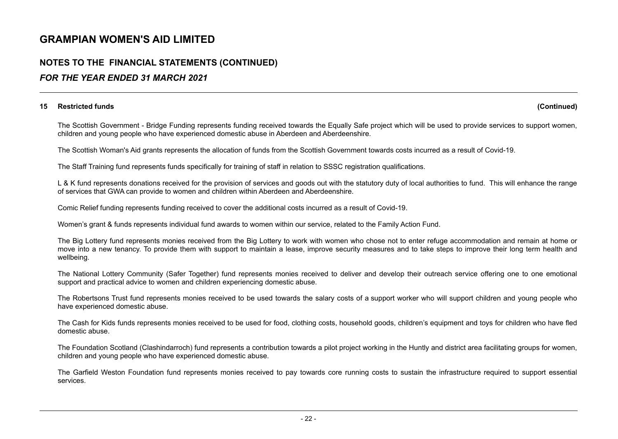### NOTES TO THE FINANCIAL STATEMENTS (CONTINUED) FOR THE YEAR ENDED 31 MARCH 2021

#### 15 Restricted funds (Continued)

The Scottish Government - Bridge Funding represents funding received towards the Equally Safe project which will be used to provide services to support women, children and young people who have experienced domestic abuse in Aberdeen and Aberdeenshire.

The Scottish Woman's Aid grants represents the allocation of funds from the Scottish Government towards costs incurred as a result of Covid-19.

The Staff Training fund represents funds specifically for training of staff in relation to SSSC registration qualifications.

L & K fund represents donations received for the provision of services and goods out with the statutory duty of local authorities to fund. This will enhance the range of services that GWA can provide to women and children within Aberdeen and Aberdeenshire.

Comic Relief funding represents funding received to cover the additional costs incurred as a result of Covid-19.

Women's grant & funds represents individual fund awards to women within our service, related to the Family Action Fund.

The Big Lottery fund represents monies received from the Big Lottery to work with women who chose not to enter refuge accommodation and remain at home or move into a new tenancy. To provide them with support to maintain a lease, improve security measures and to take steps to improve their long term health and wellbeing.

The National Lottery Community (Safer Together) fund represents monies received to deliver and develop their outreach service offering one to one emotional support and practical advice to women and children experiencing domestic abuse.

The Robertsons Trust fund represents monies received to be used towards the salary costs of a support worker who will support children and young people who have experienced domestic abuse.

The Cash for Kids funds represents monies received to be used for food, clothing costs, household goods, children's equipment and toys for children who have fled domestic abuse.

The Foundation Scotland (Clashindarroch) fund represents a contribution towards a pilot project working in the Huntly and district area facilitating groups for women, children and young people who have experienced domestic abuse.

The Garfield Weston Foundation fund represents monies received to pay towards core running costs to sustain the infrastructure required to support essential services.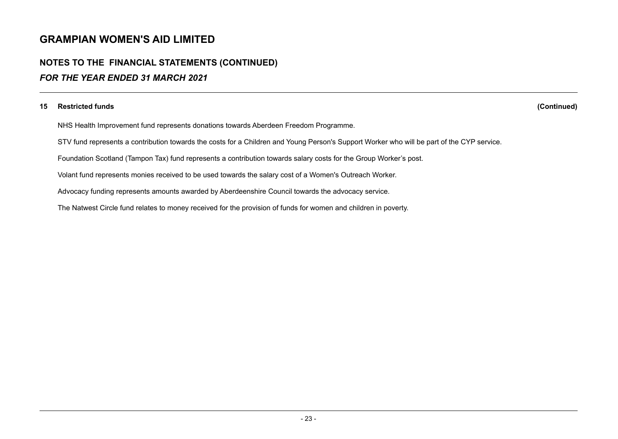## NOTES TO THE FINANCIAL STATEMENTS (CONTINUED) FOR THE YEAR ENDED 31 MARCH 2021

#### 15 Restricted funds (Continued)

NHS Health Improvement fund represents donations towards Aberdeen Freedom Programme.

STV fund represents a contribution towards the costs for a Children and Young Person's Support Worker who will be part of the CYP service.

Foundation Scotland (Tampon Tax) fund represents a contribution towards salary costs for the Group Worker's post.

Volant fund represents monies received to be used towards the salary cost of a Women's Outreach Worker.

Advocacy funding represents amounts awarded by Aberdeenshire Council towards the advocacy service.

The Natwest Circle fund relates to money received for the provision of funds for women and children in poverty.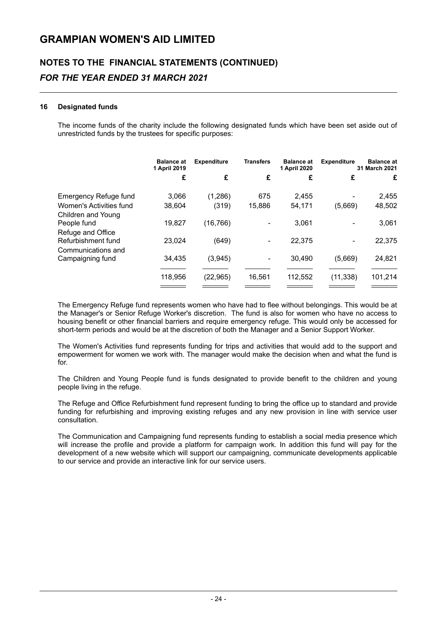# NOTES TO THE FINANCIAL STATEMENTS (CONTINUED) FOR THE YEAR ENDED 31 MARCH 2021

#### 16 Designated funds

The income funds of the charity include the following designated funds which have been set aside out of unrestricted funds by the trustees for specific purposes:

|                              | <b>Balance at</b><br>1 April 2019 | <b>Expenditure</b> | <b>Transfers</b> | <b>Balance at</b><br>1 April 2020 | <b>Expenditure</b> | <b>Balance at</b><br>31 March 2021 |
|------------------------------|-----------------------------------|--------------------|------------------|-----------------------------------|--------------------|------------------------------------|
|                              | £                                 | £                  | £                | £                                 | £                  | £                                  |
| <b>Emergency Refuge fund</b> | 3,066                             | (1,286)            | 675              | 2,455                             |                    | 2,455                              |
| Women's Activities fund      | 38,604                            | (319)              | 15,886           | 54,171                            | (5,669)            | 48,502                             |
| Children and Young           |                                   |                    |                  |                                   |                    |                                    |
| People fund                  | 19,827                            | (16, 766)          |                  | 3,061                             |                    | 3,061                              |
| Refuge and Office            |                                   |                    |                  |                                   |                    |                                    |
| Refurbishment fund           | 23,024                            | (649)              |                  | 22,375                            |                    | 22,375                             |
| Communications and           |                                   |                    |                  |                                   |                    |                                    |
| Campaigning fund             | 34.435                            | (3,945)            |                  | 30.490                            | (5,669)            | 24,821                             |
|                              | 118,956                           | (22, 965)          | 16,561           | 112,552                           | (11, 338)          | 101,214                            |
|                              |                                   |                    |                  |                                   |                    |                                    |

The Emergency Refuge fund represents women who have had to flee without belongings. This would be at the Manager's or Senior Refuge Worker's discretion. The fund is also for women who have no access to housing benefit or other financial barriers and require emergency refuge. This would only be accessed for short-term periods and would be at the discretion of both the Manager and a Senior Support Worker.

The Women's Activities fund represents funding for trips and activities that would add to the support and empowerment for women we work with. The manager would make the decision when and what the fund is for.

The Children and Young People fund is funds designated to provide benefit to the children and young people living in the refuge.

The Refuge and Office Refurbishment fund represent funding to bring the office up to standard and provide funding for refurbishing and improving existing refuges and any new provision in line with service user consultation.

The Communication and Campaigning fund represents funding to establish a social media presence which will increase the profile and provide a platform for campaign work. In addition this fund will pay for the development of a new website which will support our campaigning, communicate developments applicable to our service and provide an interactive link for our service users.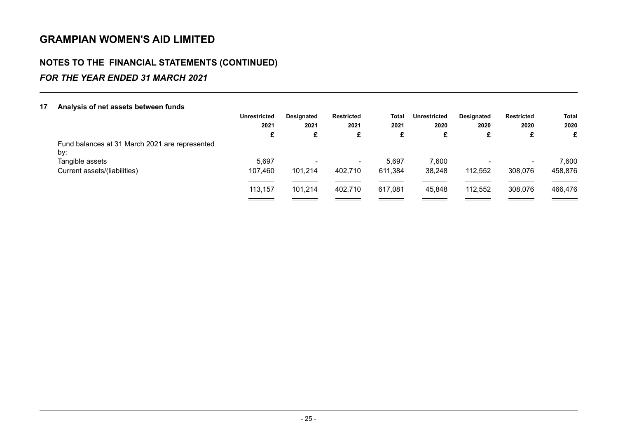### NOTES TO THE FINANCIAL STATEMENTS (CONTINUED) FOR THE YEAR ENDED 31 MARCH 2021

#### 17 Analysis of net assets between funds Unrestricted Designated Restricted Total Unrestricted Designated Restricted Total 2021 2021 2021 2021 2020 2020 2020 2020  $\mathbf{f}$   $\mathbf{g}$   $\mathbf{g}$   $\mathbf{g}$   $\mathbf{g}$   $\mathbf{g}$   $\mathbf{g}$   $\mathbf{g}$   $\mathbf{g}$   $\mathbf{g}$   $\mathbf{g}$   $\mathbf{g}$   $\mathbf{g}$   $\mathbf{g}$   $\mathbf{g}$   $\mathbf{g}$   $\mathbf{g}$   $\mathbf{g}$   $\mathbf{g}$   $\mathbf{g}$   $\mathbf{g}$   $\mathbf{g}$   $\mathbf{g}$   $\mathbf{g}$   $\mathbf{$ Fund balances at 31 March 2021 are represented by: Tangible assets 5,697 - - 5,697 7,600 - 7,600 Current assets/(liabilities) 107,460 101,214 402,710 611,384 38,248 112,552 308,076 458,876  $\overline{\phantom{a}}$  $\overline{\phantom{a}}$ <u> 1999 - Johann Barnett, f</u>  $\overline{\phantom{a}}$ 113,157 101,214 402,710 617,081 45,848 112,552 308,076 466,476  $\frac{1}{2}$  $\frac{1}{2} \left( \frac{1}{2} \right) \left( \frac{1}{2} \right) \left( \frac{1}{2} \right) \left( \frac{1}{2} \right) \left( \frac{1}{2} \right) \left( \frac{1}{2} \right) \left( \frac{1}{2} \right) \left( \frac{1}{2} \right) \left( \frac{1}{2} \right) \left( \frac{1}{2} \right) \left( \frac{1}{2} \right) \left( \frac{1}{2} \right) \left( \frac{1}{2} \right) \left( \frac{1}{2} \right) \left( \frac{1}{2} \right) \left( \frac{1}{2} \right) \left( \frac$  $\hspace{0.05cm} =$   $\hspace{0.05cm}$  $\equiv$  $\equiv$  $\equiv$  $\qquad \qquad =$  $\overline{\phantom{a}}$  $\qquad \qquad$ ==